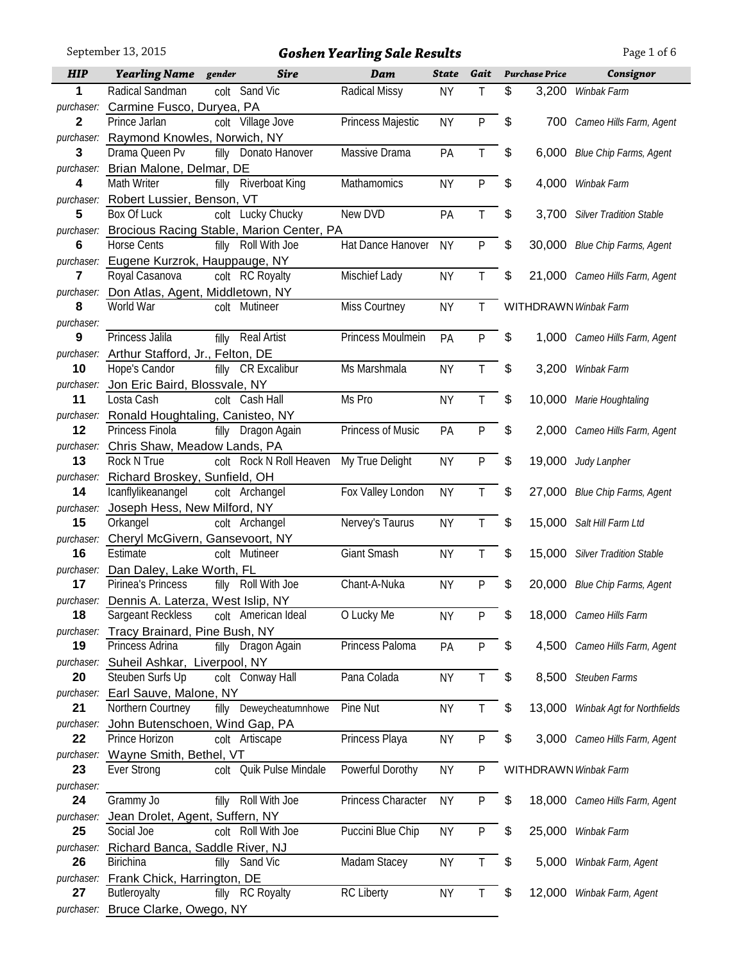September 13, 2015 *Goshen Yearling Sale Results* Page 1 of 6

| <b>HIP</b>       | <b>Yearling Name</b> gender                      |       | <b>Sire</b>                               | Dam                | <b>State</b> | Gait         | <b>Purchase Price</b> | Consignor                         |
|------------------|--------------------------------------------------|-------|-------------------------------------------|--------------------|--------------|--------------|-----------------------|-----------------------------------|
| 1                | Radical Sandman                                  |       | colt Sand Vic                             | Radical Missy      | <b>NY</b>    | Τ            | \$<br>3,200           | Winbak Farm                       |
| purchaser:       | Carmine Fusco, Duryea, PA                        |       |                                           |                    |              |              |                       |                                   |
| $\mathbf 2$      | Prince Jarlan                                    |       | colt Village Jove                         | Princess Majestic  | <b>NY</b>    | P            | \$                    | 700 Cameo Hills Farm, Agent       |
| purchaser:       | Raymond Knowles, Norwich, NY                     |       |                                           |                    |              |              |                       |                                   |
| 3                | Drama Queen Pv                                   |       | filly Donato Hanover                      | Massive Drama      | PA           | T.           | \$<br>6,000           | Blue Chip Farms, Agent            |
| purchaser:       | Brian Malone, Delmar, DE                         |       |                                           |                    |              |              |                       |                                   |
| 4                | Math Writer                                      | filly | <b>Riverboat King</b>                     | Mathamomics        | <b>NY</b>    | P            | \$<br>4,000           | Winbak Farm                       |
| purchaser:<br>5  | Robert Lussier, Benson, VT<br>Box Of Luck        |       | colt Lucky Chucky                         | New DVD            | PA           | T            | \$<br>3,700           | <b>Silver Tradition Stable</b>    |
| purchaser:       |                                                  |       | Brocious Racing Stable, Marion Center, PA |                    |              |              |                       |                                   |
| 6                | <b>Horse Cents</b>                               |       | filly Roll With Joe                       | Hat Dance Hanover  | <b>NY</b>    | P            | \$                    | 30,000 Blue Chip Farms, Agent     |
| purchaser:       | Eugene Kurzrok, Hauppauge, NY                    |       |                                           |                    |              |              |                       |                                   |
| 7                | Royal Casanova                                   |       | colt RC Royalty                           | Mischief Lady      | <b>NY</b>    | T            | \$                    | 21,000 Cameo Hills Farm, Agent    |
| purchaser:       | Don Atlas, Agent, Middletown, NY                 |       |                                           |                    |              |              |                       |                                   |
| 8                | World War                                        |       | colt Mutineer                             | Miss Courtney      | <b>NY</b>    | T.           |                       | <b>WITHDRAWN Winbak Farm</b>      |
| purchaser:       |                                                  |       |                                           |                    |              |              |                       |                                   |
| 9                | Princess Jalila                                  |       | filly Real Artist                         | Princess Moulmein  | PA           | P            | \$                    | 1,000 Cameo Hills Farm, Agent     |
| purchaser:       | Arthur Stafford, Jr., Felton, DE                 |       |                                           |                    |              |              |                       |                                   |
| 10               | Hope's Candor                                    |       | filly CR Excalibur                        | Ms Marshmala       | <b>NY</b>    | T            | \$<br>3,200           | Winbak Farm                       |
| purchaser:       | Jon Eric Baird, Blossvale, NY                    |       |                                           |                    |              |              |                       |                                   |
| 11               | Losta Cash                                       |       | colt Cash Hall                            | Ms Pro             | <b>NY</b>    | T            | \$<br>10,000          | Marie Houghtaling                 |
| purchaser:       | Ronald Houghtaling, Canisteo, NY                 |       |                                           |                    |              |              |                       |                                   |
| 12               | Princess Finola                                  |       | filly Dragon Again                        | Princess of Music  | PA           | P            | \$<br>2,000           | Cameo Hills Farm, Agent           |
| purchaser:<br>13 | Chris Shaw, Meadow Lands, PA<br>Rock N True      |       | colt Rock N Roll Heaven                   | My True Delight    | <b>NY</b>    | P            | \$<br>19,000          |                                   |
| purchaser:       | Richard Broskey, Sunfield, OH                    |       |                                           |                    |              |              |                       | Judy Lanpher                      |
| 14               | Icanflylikeanangel                               |       | colt Archangel                            | Fox Valley London  | <b>NY</b>    | T            | \$<br>27,000          | <b>Blue Chip Farms, Agent</b>     |
| purchaser:       | Joseph Hess, New Milford, NY                     |       |                                           |                    |              |              |                       |                                   |
| 15               | Orkangel                                         |       | colt Archangel                            | Nervey's Taurus    | <b>NY</b>    | T            | \$                    | 15,000 Salt Hill Farm Ltd         |
| purchaser:       | Cheryl McGivern, Gansevoort, NY                  |       |                                           |                    |              |              |                       |                                   |
| 16               | Estimate                                         |       | colt Mutineer                             | Giant Smash        | <b>NY</b>    | $\mathsf{T}$ | \$                    | 15,000 Silver Tradition Stable    |
| purchaser:       | Dan Daley, Lake Worth, FL                        |       |                                           |                    |              |              |                       |                                   |
| 17               | Pirinea's Princess                               |       | filly Roll With Joe                       | Chant-A-Nuka       | <b>NY</b>    | P            | \$                    | 20,000 Blue Chip Farms, Agent     |
|                  | purchaser: Dennis A. Laterza, West Islip, NY     |       |                                           |                    |              |              |                       |                                   |
| 18               | Sargeant Reckless                                |       | colt American Ideal                       | O Lucky Me         | <b>NY</b>    | Ρ            | \$                    | 18,000 Cameo Hills Farm           |
| purchaser:       | Tracy Brainard, Pine Bush, NY                    |       |                                           |                    |              |              |                       |                                   |
| 19               | Princess Adrina                                  |       | filly Dragon Again                        | Princess Paloma    | PA           | P            | \$                    | 4,500 Cameo Hills Farm, Agent     |
| purchaser:<br>20 | Suheil Ashkar, Liverpool, NY<br>Steuben Surfs Up |       | colt Conway Hall                          |                    |              |              |                       | 8,500 Steuben Farms               |
| purchaser:       |                                                  |       |                                           |                    |              |              |                       |                                   |
| 21               |                                                  |       |                                           | Pana Colada        | <b>NY</b>    | T.           | \$                    |                                   |
| purchaser:       | Earl Sauve, Malone, NY                           |       |                                           |                    |              |              |                       |                                   |
| 22               | Northern Courtney                                |       | filly Deweycheatumnhowe                   | Pine Nut           | <b>NY</b>    | T.           | \$                    | 13,000 Winbak Agt for Northfields |
| purchaser:       | John Butenschoen, Wind Gap, PA                   |       |                                           |                    |              |              | \$                    |                                   |
|                  | Prince Horizon                                   |       | colt Artiscape                            | Princess Playa     | <b>NY</b>    | P            |                       | 3,000 Cameo Hills Farm, Agent     |
| 23               | Wayne Smith, Bethel, VT<br>Ever Strong           |       | colt Quik Pulse Mindale                   | Powerful Dorothy   | <b>NY</b>    | P            |                       | <b>WITHDRAWN Winbak Farm</b>      |
| purchaser:       |                                                  |       |                                           |                    |              |              |                       |                                   |
| 24               | Grammy Jo                                        | filly | Roll With Joe                             | Princess Character | <b>NY</b>    | P            | \$                    | 18,000 Cameo Hills Farm, Agent    |
| purchaser:       | Jean Drolet, Agent, Suffern, NY                  |       |                                           |                    |              |              |                       |                                   |
| 25               | Social Joe                                       |       | colt Roll With Joe                        | Puccini Blue Chip  | <b>NY</b>    | P            | \$<br>25,000          | Winbak Farm                       |
| purchaser:       | Richard Banca, Saddle River, NJ                  |       |                                           |                    |              |              |                       |                                   |
| 26               | <b>Birichina</b>                                 |       | filly Sand Vic                            | Madam Stacey       | <b>NY</b>    | $\mathsf T$  | \$<br>5,000           | Winbak Farm, Agent                |
| purchaser:<br>27 | Frank Chick, Harrington, DE<br>Butleroyalty      |       | filly RC Royalty                          | <b>RC Liberty</b>  | <b>NY</b>    | T            | \$                    | 12,000 Winbak Farm, Agent         |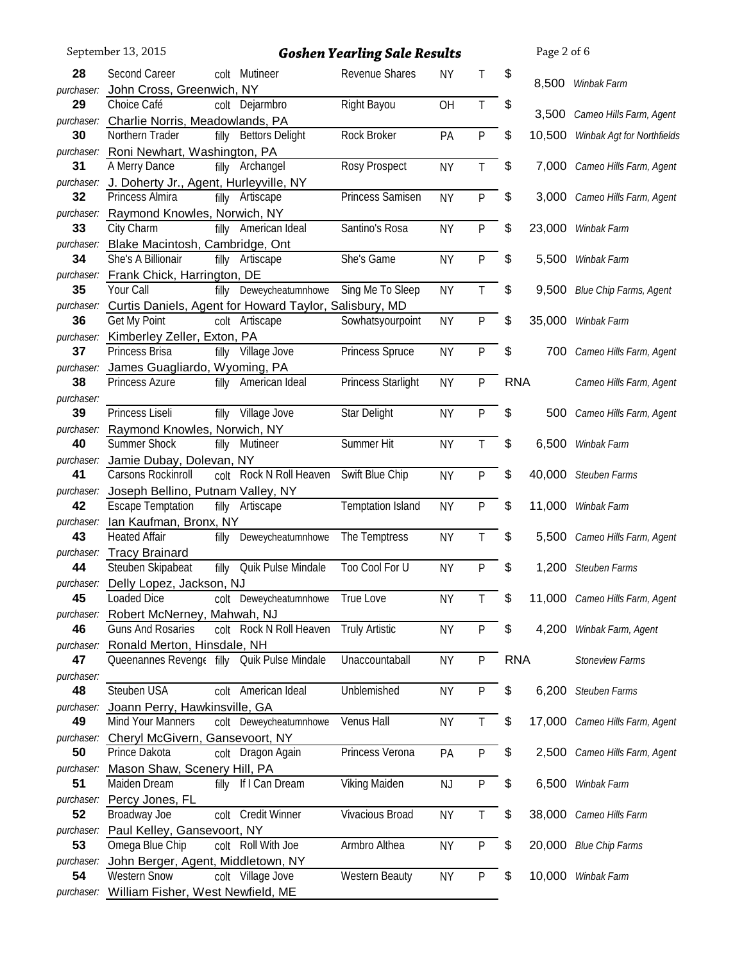|                  | September 13, 2015                                                                    |       |                         | <b>Goshen Yearling Sale Results</b> |           |              |            | Page 2 of 6 |                                |
|------------------|---------------------------------------------------------------------------------------|-------|-------------------------|-------------------------------------|-----------|--------------|------------|-------------|--------------------------------|
| 28               | Second Career                                                                         |       | colt Mutineer           | Revenue Shares                      | <b>NY</b> | Τ            | \$         |             |                                |
| purchaser:       | John Cross, Greenwich, NY                                                             |       |                         |                                     |           |              |            |             | 8,500 Winbak Farm              |
| 29               | Choice Café                                                                           |       | colt Dejarmbro          | Right Bayou                         | OH        | $\mathsf T$  | \$         |             |                                |
|                  | purchaser: Charlie Norris, Meadowlands, PA                                            |       |                         |                                     |           |              |            | 3,500       | Cameo Hills Farm, Agent        |
| 30               | Northern Trader                                                                       |       | filly Bettors Delight   | Rock Broker                         | PA        | $\mathsf{P}$ | \$         | 10,500      | Winbak Agt for Northfields     |
|                  | purchaser: Roni Newhart, Washington, PA                                               |       |                         |                                     |           |              |            |             |                                |
| 31               | A Merry Dance                                                                         |       | filly Archangel         | Rosy Prospect                       | <b>NY</b> | T            | \$         |             | 7,000 Cameo Hills Farm, Agent  |
| purchaser:       | J. Doherty Jr., Agent, Hurleyville, NY<br>Princess Almira                             |       |                         | Princess Samisen                    |           |              |            |             |                                |
| 32               |                                                                                       |       | filly Artiscape         |                                     | <b>NY</b> | $\mathsf{P}$ | \$         |             | 3,000 Cameo Hills Farm, Agent  |
| 33               | purchaser: Raymond Knowles, Norwich, NY<br>City Charm                                 |       | filly American Ideal    | Santino's Rosa                      | <b>NY</b> | ${\sf P}$    | \$         | 23,000      | Winbak Farm                    |
|                  | purchaser: Blake Macintosh, Cambridge, Ont                                            |       |                         |                                     |           |              |            |             |                                |
| 34               | She's A Billionair                                                                    |       | filly Artiscape         | She's Game                          | <b>NY</b> | P            | \$         | 5,500       | Winbak Farm                    |
|                  | purchaser: Frank Chick, Harrington, DE                                                |       |                         |                                     |           |              |            |             |                                |
| 35               | Your Call                                                                             | filly | Deweycheatumnhowe       | Sing Me To Sleep                    | <b>NY</b> | Τ            | \$         | 9,500       | Blue Chip Farms, Agent         |
|                  | purchaser: Curtis Daniels, Agent for Howard Taylor, Salisbury, MD                     |       |                         |                                     |           |              |            |             |                                |
| 36               | Get My Point                                                                          |       | colt Artiscape          | Sowhatsyourpoint                    | <b>NY</b> | $\mathsf{P}$ | \$         | 35,000      | Winbak Farm                    |
|                  | purchaser: Kimberley Zeller, Exton, PA                                                |       |                         |                                     |           |              |            |             |                                |
| 37               | Princess Brisa                                                                        | filly | Village Jove            | Princess Spruce                     | <b>NY</b> | P            | \$         | 700         | Cameo Hills Farm, Agent        |
| purchaser:       | James Guagliardo, Wyoming, PA                                                         |       |                         |                                     |           |              |            |             |                                |
| 38               | Princess Azure                                                                        |       | filly American Ideal    | <b>Princess Starlight</b>           | <b>NY</b> | $\mathsf{P}$ | <b>RNA</b> |             | Cameo Hills Farm, Agent        |
| purchaser:       |                                                                                       |       |                         |                                     |           |              |            |             |                                |
| 39               | Princess Liseli                                                                       |       | filly Village Jove      | Star Delight                        | <b>NY</b> | $\mathsf{P}$ | \$         | 500         | Cameo Hills Farm, Agent        |
| 40               | purchaser: Raymond Knowles, Norwich, NY<br>Summer Shock                               | filly | Mutineer                | Summer Hit                          | <b>NY</b> | Τ            | \$         | 6,500       | Winbak Farm                    |
| purchaser:       | Jamie Dubay, Dolevan, NY                                                              |       |                         |                                     |           |              |            |             |                                |
| 41               | Carsons Rockinroll                                                                    |       | colt Rock N Roll Heaven | Swift Blue Chip                     | <b>NY</b> | $\mathsf{P}$ | \$         | 40,000      | Steuben Farms                  |
|                  | purchaser: Joseph Bellino, Putnam Valley, NY                                          |       |                         |                                     |           |              |            |             |                                |
| 42               | <b>Escape Temptation</b>                                                              |       | filly Artiscape         | <b>Temptation Island</b>            | <b>NY</b> | $\mathsf{P}$ | \$         | 11,000      | Winbak Farm                    |
|                  | purchaser: Ian Kaufman, Bronx, NY                                                     |       |                         |                                     |           |              |            |             |                                |
| 43               | <b>Heated Affair</b>                                                                  | filly | Deweycheatumnhowe       | The Temptress                       | <b>NY</b> | Τ            | \$         | 5,500       | Cameo Hills Farm, Agent        |
|                  | purchaser: Tracy Brainard                                                             |       |                         |                                     |           |              |            |             |                                |
| 44               | Steuben Skipabeat                                                                     | filly | Quik Pulse Mindale      | Too Cool For U                      | <b>NY</b> | P            | \$         | 1,200       | Steuben Farms                  |
|                  | purchaser: Delly Lopez, Jackson, NJ                                                   |       |                         |                                     |           |              |            |             |                                |
| 45               | Loaded Dice                                                                           |       | colt Deweycheatumnhowe  | True Love                           | <b>NY</b> | Τ            | \$         |             | 11,000 Cameo Hills Farm, Agent |
|                  | purchaser: Robert McNerney, Mahwah, NJ                                                |       |                         |                                     |           |              |            |             |                                |
| 46               | <b>Guns And Rosaries</b>                                                              |       | colt Rock N Roll Heaven | <b>Truly Artistic</b>               | <b>NY</b> | $\mathsf{P}$ | \$         | 4,200       | Winbak Farm, Agent             |
| 47               | purchaser: Ronald Merton, Hinsdale, NH<br>Queenannes Revenge filly Quik Pulse Mindale |       |                         | Unaccountaball                      | <b>NY</b> | $\mathsf{P}$ | <b>RNA</b> |             | <b>Stoneview Farms</b>         |
| purchaser:       |                                                                                       |       |                         |                                     |           |              |            |             |                                |
| 48               | Steuben USA                                                                           |       | colt American Ideal     | Unblemished                         | <b>NY</b> | P            | \$         | 6,200       | Steuben Farms                  |
| purchaser:       | Joann Perry, Hawkinsville, GA                                                         |       |                         |                                     |           |              |            |             |                                |
| 49               | Mind Your Manners                                                                     |       | colt Deweycheatumnhowe  | Venus Hall                          | <b>NY</b> | T            | \$         |             | 17,000 Cameo Hills Farm, Agent |
|                  | purchaser: Cheryl McGivern, Gansevoort, NY                                            |       |                         |                                     |           |              |            |             |                                |
| 50               | Prince Dakota                                                                         |       | colt Dragon Again       | Princess Verona                     | PA        | $\mathsf{P}$ | \$         | 2,500       | Cameo Hills Farm, Agent        |
|                  | purchaser: Mason Shaw, Scenery Hill, PA                                               |       |                         |                                     |           |              |            |             |                                |
| 51               | Maiden Dream                                                                          |       | filly If I Can Dream    | Viking Maiden                       | NJ        | $\mathsf{P}$ | \$         | 6,500       | Winbak Farm                    |
|                  | purchaser: Percy Jones, FL                                                            |       |                         |                                     |           |              |            |             |                                |
| 52               | Broadway Joe                                                                          |       | colt Credit Winner      | Vivacious Broad                     | <b>NY</b> | T            | \$         |             | 38,000 Cameo Hills Farm        |
|                  | purchaser: Paul Kelley, Gansevoort, NY                                                |       |                         |                                     |           |              |            |             |                                |
| 53               | Omega Blue Chip                                                                       |       | colt Roll With Joe      | Armbro Althea                       | <b>NY</b> | P            | \$         |             | 20,000 Blue Chip Farms         |
| purchaser:<br>54 | John Berger, Agent, Middletown, NY<br><b>Western Snow</b>                             |       | colt Village Jove       | <b>Western Beauty</b>               | <b>NY</b> | $\sf P$      | \$         |             | 10,000 Winbak Farm             |
|                  | purchaser: William Fisher, West Newfield, ME                                          |       |                         |                                     |           |              |            |             |                                |
|                  |                                                                                       |       |                         |                                     |           |              |            |             |                                |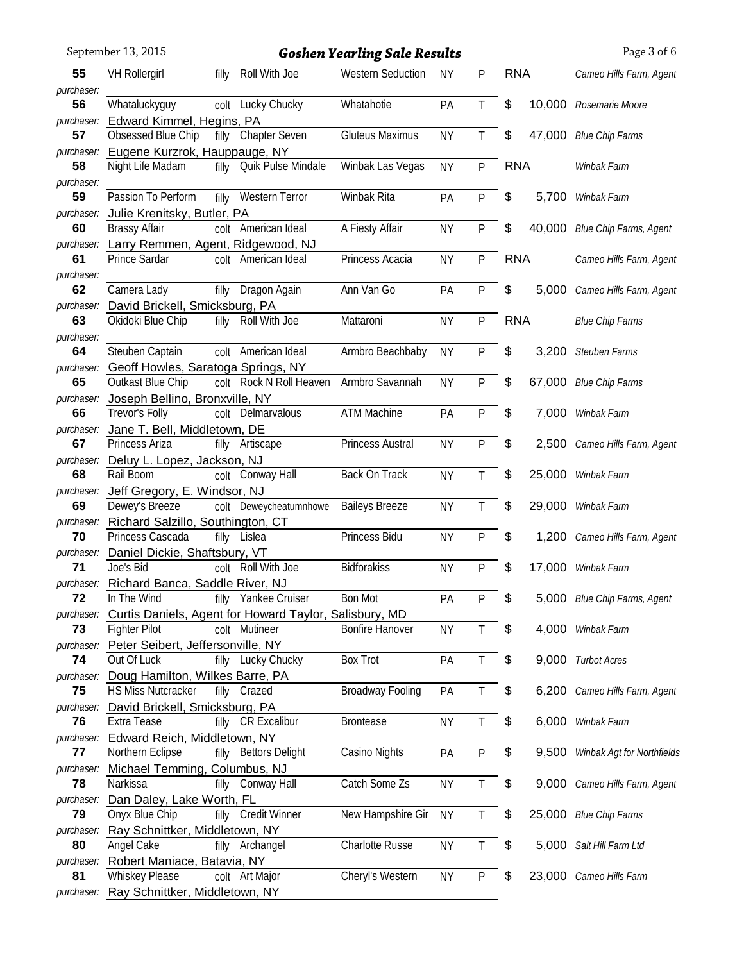| Roll With Joe<br><b>RNA</b><br>55<br><b>VH Rollergirl</b><br><b>Western Seduction</b><br><b>NY</b><br>filly<br>P<br>purchaser:<br>T<br>\$<br>56<br>Whataluckyguy<br>colt Lucky Chucky<br>Whatahotie<br>10,000<br>PA<br>Rosemarie Moore<br>Edward Kimmel, Hegins, PA<br>purchaser:<br>Obsessed Blue Chip<br>T<br>\$<br>filly Chapter Seven<br><b>Gluteus Maximus</b><br><b>NY</b><br>47,000<br>57<br><b>Blue Chip Farms</b><br>purchaser: Eugene Kurzrok, Hauppauge, NY<br>filly Quik Pulse Mindale<br>Winbak Las Vegas<br>P<br><b>RNA</b><br>Night Life Madam<br><b>NY</b><br>58<br>Winbak Farm<br>purchaser:<br>Passion To Perform<br>Western Terror<br>Winbak Rita<br>\$<br>59<br>PA<br>P<br>5,700<br>filly<br>Winbak Farm<br>Julie Krenitsky, Butler, PA<br>purchaser:<br>colt American Ideal<br>A Fiesty Affair<br>\$<br>60<br><b>Brassy Affair</b><br>40,000<br>Blue Chip Farms, Agent<br><b>NY</b><br>P<br>purchaser: Larry Remmen, Agent, Ridgewood, NJ<br><b>RNA</b><br>61<br>Prince Sardar<br>colt American Ideal<br>Princess Acacia<br><b>NY</b><br>P<br>purchaser:<br>filly Dragon Again<br>Ann Van Go<br>P<br>\$<br>62<br>Camera Lady<br>PA<br>5,000<br>purchaser: David Brickell, Smicksburg, PA<br>Okidoki Blue Chip<br>Roll With Joe<br>Mattaroni<br><b>RNA</b><br>P<br>63<br><b>NY</b><br><b>Blue Chip Farms</b><br>filly<br>purchaser:<br>Steuben Captain<br>colt American Ideal<br>Armbro Beachbaby<br>\$<br>64<br>P<br>3,200<br><b>NY</b><br>Steuben Farms<br>purchaser: Geoff Howles, Saratoga Springs, NY<br>\$<br>Outkast Blue Chip<br>colt Rock N Roll Heaven<br>Armbro Savannah<br>P<br>65<br>67,000<br><b>NY</b><br><b>Blue Chip Farms</b><br>purchaser: Joseph Bellino, Bronxville, NY<br><b>ATM Machine</b><br>Trevor's Folly<br>colt Delmarvalous<br>PA<br>P<br>\$<br>66<br>7,000<br>Winbak Farm<br>Jane T. Bell, Middletown, DE<br>purchaser:<br>Princess Austral<br>\$<br>Princess Ariza<br><b>NY</b><br>P<br>67<br>filly Artiscape<br>2,500<br>Cameo Hills Farm, Agent<br>purchaser: Deluy L. Lopez, Jackson, NJ<br>Rail Boom<br>68<br>colt Conway Hall<br>Back On Track<br>\$<br><b>NY</b><br>T<br>25,000 Winbak Farm<br>Jeff Gregory, E. Windsor, NJ<br>purchaser:<br>\$<br><b>Baileys Breeze</b><br>69<br>Dewey's Breeze<br>colt Deweycheatumnhowe<br>29,000 Winbak Farm<br><b>NY</b><br>Τ<br>purchaser: Richard Salzillo, Southington, CT<br>Princess Bidu<br>Princess Cascada<br>filly Lislea<br><b>NY</b><br>P<br>\$<br>70<br>1,200 Cameo Hills Farm, Agent<br>purchaser: Daniel Dickie, Shaftsbury, VT<br>Joe's Bid<br><b>Bidforakiss</b><br><b>NY</b><br>P<br>\$<br>colt Roll With Joe<br>71<br>17,000<br>Winbak Farm<br>purchaser: Richard Banca, Saddle River, NJ<br>In The Wind<br><b>Bon Mot</b><br>Yankee Cruiser<br>\$<br>72<br>PA<br>P<br>5,000 Blue Chip Farms, Agent<br>filly<br>Curtis Daniels, Agent for Howard Taylor, Salisbury, MD<br>purchaser:<br>\$<br><b>Bonfire Hanover</b><br>73<br><b>Fighter Pilot</b><br>colt Mutineer<br>4,000 Winbak Farm<br><b>NY</b><br>purchaser: Peter Seibert, Jeffersonville, NY<br>\$<br>filly Lucky Chucky<br><b>Box Trot</b><br>PA<br>74<br>Out Of Luck<br>Τ<br>9,000 Turbot Acres<br>Doug Hamilton, Wilkes Barre, PA<br>purchaser:<br>\$<br>HS Miss Nutcracker<br><b>Broadway Fooling</b><br>Τ<br>75<br>filly Crazed<br>PA<br>6,200 Cameo Hills Farm, Agent<br>purchaser: David Brickell, Smicksburg, PA<br>$\boldsymbol{\hat{\theta}}$<br>Extra Tease<br><b>CR Excalibur</b><br><b>Brontease</b><br>$\mathsf{T}$<br>76<br>filly<br><b>NY</b><br>6,000 Winbak Farm<br>purchaser: Edward Reich, Middletown, NY | \$<br>Northern Eclipse<br>Casino Nights<br><b>Bettors Delight</b><br>P<br>77<br>filly<br>PA<br>Michael Temming, Columbus, NJ<br>purchaser:<br>Catch Some Zs<br>\$<br>Narkissa<br>filly Conway Hall<br><b>NY</b><br>T<br>78<br>purchaser: Dan Daley, Lake Worth, FL<br>Onyx Blue Chip<br>filly Credit Winner<br>\$<br>New Hampshire Gir<br><b>NY</b><br>Τ<br>79<br>purchaser: Ray Schnittker, Middletown, NY<br>\$<br>80<br>Angel Cake<br><b>Charlotte Russe</b><br>filly Archangel<br><b>NY</b><br>Τ<br>purchaser: Robert Maniace, Batavia, NY | Page 3 of 6                |
|---------------------------------------------------------------------------------------------------------------------------------------------------------------------------------------------------------------------------------------------------------------------------------------------------------------------------------------------------------------------------------------------------------------------------------------------------------------------------------------------------------------------------------------------------------------------------------------------------------------------------------------------------------------------------------------------------------------------------------------------------------------------------------------------------------------------------------------------------------------------------------------------------------------------------------------------------------------------------------------------------------------------------------------------------------------------------------------------------------------------------------------------------------------------------------------------------------------------------------------------------------------------------------------------------------------------------------------------------------------------------------------------------------------------------------------------------------------------------------------------------------------------------------------------------------------------------------------------------------------------------------------------------------------------------------------------------------------------------------------------------------------------------------------------------------------------------------------------------------------------------------------------------------------------------------------------------------------------------------------------------------------------------------------------------------------------------------------------------------------------------------------------------------------------------------------------------------------------------------------------------------------------------------------------------------------------------------------------------------------------------------------------------------------------------------------------------------------------------------------------------------------------------------------------------------------------------------------------------------------------------------------------------------------------------------------------------------------------------------------------------------------------------------------------------------------------------------------------------------------------------------------------------------------------------------------------------------------------------------------------------------------------------------------------------------------------------------------------------------------------------------------------------------------------------------------------------------------------------------------------------------------------------------------------------------------------------------------------------------------------------------------------------------------------------------------------------------------------------------------------------------------------------------------------------------------------------------------------------------|------------------------------------------------------------------------------------------------------------------------------------------------------------------------------------------------------------------------------------------------------------------------------------------------------------------------------------------------------------------------------------------------------------------------------------------------------------------------------------------------------------------------------------------------|----------------------------|
|                                                                                                                                                                                                                                                                                                                                                                                                                                                                                                                                                                                                                                                                                                                                                                                                                                                                                                                                                                                                                                                                                                                                                                                                                                                                                                                                                                                                                                                                                                                                                                                                                                                                                                                                                                                                                                                                                                                                                                                                                                                                                                                                                                                                                                                                                                                                                                                                                                                                                                                                                                                                                                                                                                                                                                                                                                                                                                                                                                                                                                                                                                                                                                                                                                                                                                                                                                                                                                                                                                                                                                                                         |                                                                                                                                                                                                                                                                                                                                                                                                                                                                                                                                                | Cameo Hills Farm, Agent    |
|                                                                                                                                                                                                                                                                                                                                                                                                                                                                                                                                                                                                                                                                                                                                                                                                                                                                                                                                                                                                                                                                                                                                                                                                                                                                                                                                                                                                                                                                                                                                                                                                                                                                                                                                                                                                                                                                                                                                                                                                                                                                                                                                                                                                                                                                                                                                                                                                                                                                                                                                                                                                                                                                                                                                                                                                                                                                                                                                                                                                                                                                                                                                                                                                                                                                                                                                                                                                                                                                                                                                                                                                         |                                                                                                                                                                                                                                                                                                                                                                                                                                                                                                                                                |                            |
|                                                                                                                                                                                                                                                                                                                                                                                                                                                                                                                                                                                                                                                                                                                                                                                                                                                                                                                                                                                                                                                                                                                                                                                                                                                                                                                                                                                                                                                                                                                                                                                                                                                                                                                                                                                                                                                                                                                                                                                                                                                                                                                                                                                                                                                                                                                                                                                                                                                                                                                                                                                                                                                                                                                                                                                                                                                                                                                                                                                                                                                                                                                                                                                                                                                                                                                                                                                                                                                                                                                                                                                                         |                                                                                                                                                                                                                                                                                                                                                                                                                                                                                                                                                |                            |
|                                                                                                                                                                                                                                                                                                                                                                                                                                                                                                                                                                                                                                                                                                                                                                                                                                                                                                                                                                                                                                                                                                                                                                                                                                                                                                                                                                                                                                                                                                                                                                                                                                                                                                                                                                                                                                                                                                                                                                                                                                                                                                                                                                                                                                                                                                                                                                                                                                                                                                                                                                                                                                                                                                                                                                                                                                                                                                                                                                                                                                                                                                                                                                                                                                                                                                                                                                                                                                                                                                                                                                                                         |                                                                                                                                                                                                                                                                                                                                                                                                                                                                                                                                                |                            |
|                                                                                                                                                                                                                                                                                                                                                                                                                                                                                                                                                                                                                                                                                                                                                                                                                                                                                                                                                                                                                                                                                                                                                                                                                                                                                                                                                                                                                                                                                                                                                                                                                                                                                                                                                                                                                                                                                                                                                                                                                                                                                                                                                                                                                                                                                                                                                                                                                                                                                                                                                                                                                                                                                                                                                                                                                                                                                                                                                                                                                                                                                                                                                                                                                                                                                                                                                                                                                                                                                                                                                                                                         |                                                                                                                                                                                                                                                                                                                                                                                                                                                                                                                                                |                            |
|                                                                                                                                                                                                                                                                                                                                                                                                                                                                                                                                                                                                                                                                                                                                                                                                                                                                                                                                                                                                                                                                                                                                                                                                                                                                                                                                                                                                                                                                                                                                                                                                                                                                                                                                                                                                                                                                                                                                                                                                                                                                                                                                                                                                                                                                                                                                                                                                                                                                                                                                                                                                                                                                                                                                                                                                                                                                                                                                                                                                                                                                                                                                                                                                                                                                                                                                                                                                                                                                                                                                                                                                         |                                                                                                                                                                                                                                                                                                                                                                                                                                                                                                                                                |                            |
|                                                                                                                                                                                                                                                                                                                                                                                                                                                                                                                                                                                                                                                                                                                                                                                                                                                                                                                                                                                                                                                                                                                                                                                                                                                                                                                                                                                                                                                                                                                                                                                                                                                                                                                                                                                                                                                                                                                                                                                                                                                                                                                                                                                                                                                                                                                                                                                                                                                                                                                                                                                                                                                                                                                                                                                                                                                                                                                                                                                                                                                                                                                                                                                                                                                                                                                                                                                                                                                                                                                                                                                                         |                                                                                                                                                                                                                                                                                                                                                                                                                                                                                                                                                |                            |
|                                                                                                                                                                                                                                                                                                                                                                                                                                                                                                                                                                                                                                                                                                                                                                                                                                                                                                                                                                                                                                                                                                                                                                                                                                                                                                                                                                                                                                                                                                                                                                                                                                                                                                                                                                                                                                                                                                                                                                                                                                                                                                                                                                                                                                                                                                                                                                                                                                                                                                                                                                                                                                                                                                                                                                                                                                                                                                                                                                                                                                                                                                                                                                                                                                                                                                                                                                                                                                                                                                                                                                                                         |                                                                                                                                                                                                                                                                                                                                                                                                                                                                                                                                                |                            |
|                                                                                                                                                                                                                                                                                                                                                                                                                                                                                                                                                                                                                                                                                                                                                                                                                                                                                                                                                                                                                                                                                                                                                                                                                                                                                                                                                                                                                                                                                                                                                                                                                                                                                                                                                                                                                                                                                                                                                                                                                                                                                                                                                                                                                                                                                                                                                                                                                                                                                                                                                                                                                                                                                                                                                                                                                                                                                                                                                                                                                                                                                                                                                                                                                                                                                                                                                                                                                                                                                                                                                                                                         |                                                                                                                                                                                                                                                                                                                                                                                                                                                                                                                                                | Cameo Hills Farm, Agent    |
|                                                                                                                                                                                                                                                                                                                                                                                                                                                                                                                                                                                                                                                                                                                                                                                                                                                                                                                                                                                                                                                                                                                                                                                                                                                                                                                                                                                                                                                                                                                                                                                                                                                                                                                                                                                                                                                                                                                                                                                                                                                                                                                                                                                                                                                                                                                                                                                                                                                                                                                                                                                                                                                                                                                                                                                                                                                                                                                                                                                                                                                                                                                                                                                                                                                                                                                                                                                                                                                                                                                                                                                                         |                                                                                                                                                                                                                                                                                                                                                                                                                                                                                                                                                |                            |
|                                                                                                                                                                                                                                                                                                                                                                                                                                                                                                                                                                                                                                                                                                                                                                                                                                                                                                                                                                                                                                                                                                                                                                                                                                                                                                                                                                                                                                                                                                                                                                                                                                                                                                                                                                                                                                                                                                                                                                                                                                                                                                                                                                                                                                                                                                                                                                                                                                                                                                                                                                                                                                                                                                                                                                                                                                                                                                                                                                                                                                                                                                                                                                                                                                                                                                                                                                                                                                                                                                                                                                                                         |                                                                                                                                                                                                                                                                                                                                                                                                                                                                                                                                                | Cameo Hills Farm, Agent    |
|                                                                                                                                                                                                                                                                                                                                                                                                                                                                                                                                                                                                                                                                                                                                                                                                                                                                                                                                                                                                                                                                                                                                                                                                                                                                                                                                                                                                                                                                                                                                                                                                                                                                                                                                                                                                                                                                                                                                                                                                                                                                                                                                                                                                                                                                                                                                                                                                                                                                                                                                                                                                                                                                                                                                                                                                                                                                                                                                                                                                                                                                                                                                                                                                                                                                                                                                                                                                                                                                                                                                                                                                         |                                                                                                                                                                                                                                                                                                                                                                                                                                                                                                                                                |                            |
|                                                                                                                                                                                                                                                                                                                                                                                                                                                                                                                                                                                                                                                                                                                                                                                                                                                                                                                                                                                                                                                                                                                                                                                                                                                                                                                                                                                                                                                                                                                                                                                                                                                                                                                                                                                                                                                                                                                                                                                                                                                                                                                                                                                                                                                                                                                                                                                                                                                                                                                                                                                                                                                                                                                                                                                                                                                                                                                                                                                                                                                                                                                                                                                                                                                                                                                                                                                                                                                                                                                                                                                                         |                                                                                                                                                                                                                                                                                                                                                                                                                                                                                                                                                |                            |
|                                                                                                                                                                                                                                                                                                                                                                                                                                                                                                                                                                                                                                                                                                                                                                                                                                                                                                                                                                                                                                                                                                                                                                                                                                                                                                                                                                                                                                                                                                                                                                                                                                                                                                                                                                                                                                                                                                                                                                                                                                                                                                                                                                                                                                                                                                                                                                                                                                                                                                                                                                                                                                                                                                                                                                                                                                                                                                                                                                                                                                                                                                                                                                                                                                                                                                                                                                                                                                                                                                                                                                                                         |                                                                                                                                                                                                                                                                                                                                                                                                                                                                                                                                                |                            |
|                                                                                                                                                                                                                                                                                                                                                                                                                                                                                                                                                                                                                                                                                                                                                                                                                                                                                                                                                                                                                                                                                                                                                                                                                                                                                                                                                                                                                                                                                                                                                                                                                                                                                                                                                                                                                                                                                                                                                                                                                                                                                                                                                                                                                                                                                                                                                                                                                                                                                                                                                                                                                                                                                                                                                                                                                                                                                                                                                                                                                                                                                                                                                                                                                                                                                                                                                                                                                                                                                                                                                                                                         |                                                                                                                                                                                                                                                                                                                                                                                                                                                                                                                                                |                            |
|                                                                                                                                                                                                                                                                                                                                                                                                                                                                                                                                                                                                                                                                                                                                                                                                                                                                                                                                                                                                                                                                                                                                                                                                                                                                                                                                                                                                                                                                                                                                                                                                                                                                                                                                                                                                                                                                                                                                                                                                                                                                                                                                                                                                                                                                                                                                                                                                                                                                                                                                                                                                                                                                                                                                                                                                                                                                                                                                                                                                                                                                                                                                                                                                                                                                                                                                                                                                                                                                                                                                                                                                         |                                                                                                                                                                                                                                                                                                                                                                                                                                                                                                                                                |                            |
|                                                                                                                                                                                                                                                                                                                                                                                                                                                                                                                                                                                                                                                                                                                                                                                                                                                                                                                                                                                                                                                                                                                                                                                                                                                                                                                                                                                                                                                                                                                                                                                                                                                                                                                                                                                                                                                                                                                                                                                                                                                                                                                                                                                                                                                                                                                                                                                                                                                                                                                                                                                                                                                                                                                                                                                                                                                                                                                                                                                                                                                                                                                                                                                                                                                                                                                                                                                                                                                                                                                                                                                                         |                                                                                                                                                                                                                                                                                                                                                                                                                                                                                                                                                |                            |
|                                                                                                                                                                                                                                                                                                                                                                                                                                                                                                                                                                                                                                                                                                                                                                                                                                                                                                                                                                                                                                                                                                                                                                                                                                                                                                                                                                                                                                                                                                                                                                                                                                                                                                                                                                                                                                                                                                                                                                                                                                                                                                                                                                                                                                                                                                                                                                                                                                                                                                                                                                                                                                                                                                                                                                                                                                                                                                                                                                                                                                                                                                                                                                                                                                                                                                                                                                                                                                                                                                                                                                                                         |                                                                                                                                                                                                                                                                                                                                                                                                                                                                                                                                                |                            |
|                                                                                                                                                                                                                                                                                                                                                                                                                                                                                                                                                                                                                                                                                                                                                                                                                                                                                                                                                                                                                                                                                                                                                                                                                                                                                                                                                                                                                                                                                                                                                                                                                                                                                                                                                                                                                                                                                                                                                                                                                                                                                                                                                                                                                                                                                                                                                                                                                                                                                                                                                                                                                                                                                                                                                                                                                                                                                                                                                                                                                                                                                                                                                                                                                                                                                                                                                                                                                                                                                                                                                                                                         |                                                                                                                                                                                                                                                                                                                                                                                                                                                                                                                                                |                            |
|                                                                                                                                                                                                                                                                                                                                                                                                                                                                                                                                                                                                                                                                                                                                                                                                                                                                                                                                                                                                                                                                                                                                                                                                                                                                                                                                                                                                                                                                                                                                                                                                                                                                                                                                                                                                                                                                                                                                                                                                                                                                                                                                                                                                                                                                                                                                                                                                                                                                                                                                                                                                                                                                                                                                                                                                                                                                                                                                                                                                                                                                                                                                                                                                                                                                                                                                                                                                                                                                                                                                                                                                         |                                                                                                                                                                                                                                                                                                                                                                                                                                                                                                                                                |                            |
|                                                                                                                                                                                                                                                                                                                                                                                                                                                                                                                                                                                                                                                                                                                                                                                                                                                                                                                                                                                                                                                                                                                                                                                                                                                                                                                                                                                                                                                                                                                                                                                                                                                                                                                                                                                                                                                                                                                                                                                                                                                                                                                                                                                                                                                                                                                                                                                                                                                                                                                                                                                                                                                                                                                                                                                                                                                                                                                                                                                                                                                                                                                                                                                                                                                                                                                                                                                                                                                                                                                                                                                                         |                                                                                                                                                                                                                                                                                                                                                                                                                                                                                                                                                |                            |
|                                                                                                                                                                                                                                                                                                                                                                                                                                                                                                                                                                                                                                                                                                                                                                                                                                                                                                                                                                                                                                                                                                                                                                                                                                                                                                                                                                                                                                                                                                                                                                                                                                                                                                                                                                                                                                                                                                                                                                                                                                                                                                                                                                                                                                                                                                                                                                                                                                                                                                                                                                                                                                                                                                                                                                                                                                                                                                                                                                                                                                                                                                                                                                                                                                                                                                                                                                                                                                                                                                                                                                                                         |                                                                                                                                                                                                                                                                                                                                                                                                                                                                                                                                                |                            |
|                                                                                                                                                                                                                                                                                                                                                                                                                                                                                                                                                                                                                                                                                                                                                                                                                                                                                                                                                                                                                                                                                                                                                                                                                                                                                                                                                                                                                                                                                                                                                                                                                                                                                                                                                                                                                                                                                                                                                                                                                                                                                                                                                                                                                                                                                                                                                                                                                                                                                                                                                                                                                                                                                                                                                                                                                                                                                                                                                                                                                                                                                                                                                                                                                                                                                                                                                                                                                                                                                                                                                                                                         |                                                                                                                                                                                                                                                                                                                                                                                                                                                                                                                                                |                            |
|                                                                                                                                                                                                                                                                                                                                                                                                                                                                                                                                                                                                                                                                                                                                                                                                                                                                                                                                                                                                                                                                                                                                                                                                                                                                                                                                                                                                                                                                                                                                                                                                                                                                                                                                                                                                                                                                                                                                                                                                                                                                                                                                                                                                                                                                                                                                                                                                                                                                                                                                                                                                                                                                                                                                                                                                                                                                                                                                                                                                                                                                                                                                                                                                                                                                                                                                                                                                                                                                                                                                                                                                         |                                                                                                                                                                                                                                                                                                                                                                                                                                                                                                                                                |                            |
|                                                                                                                                                                                                                                                                                                                                                                                                                                                                                                                                                                                                                                                                                                                                                                                                                                                                                                                                                                                                                                                                                                                                                                                                                                                                                                                                                                                                                                                                                                                                                                                                                                                                                                                                                                                                                                                                                                                                                                                                                                                                                                                                                                                                                                                                                                                                                                                                                                                                                                                                                                                                                                                                                                                                                                                                                                                                                                                                                                                                                                                                                                                                                                                                                                                                                                                                                                                                                                                                                                                                                                                                         |                                                                                                                                                                                                                                                                                                                                                                                                                                                                                                                                                |                            |
|                                                                                                                                                                                                                                                                                                                                                                                                                                                                                                                                                                                                                                                                                                                                                                                                                                                                                                                                                                                                                                                                                                                                                                                                                                                                                                                                                                                                                                                                                                                                                                                                                                                                                                                                                                                                                                                                                                                                                                                                                                                                                                                                                                                                                                                                                                                                                                                                                                                                                                                                                                                                                                                                                                                                                                                                                                                                                                                                                                                                                                                                                                                                                                                                                                                                                                                                                                                                                                                                                                                                                                                                         |                                                                                                                                                                                                                                                                                                                                                                                                                                                                                                                                                |                            |
|                                                                                                                                                                                                                                                                                                                                                                                                                                                                                                                                                                                                                                                                                                                                                                                                                                                                                                                                                                                                                                                                                                                                                                                                                                                                                                                                                                                                                                                                                                                                                                                                                                                                                                                                                                                                                                                                                                                                                                                                                                                                                                                                                                                                                                                                                                                                                                                                                                                                                                                                                                                                                                                                                                                                                                                                                                                                                                                                                                                                                                                                                                                                                                                                                                                                                                                                                                                                                                                                                                                                                                                                         |                                                                                                                                                                                                                                                                                                                                                                                                                                                                                                                                                |                            |
|                                                                                                                                                                                                                                                                                                                                                                                                                                                                                                                                                                                                                                                                                                                                                                                                                                                                                                                                                                                                                                                                                                                                                                                                                                                                                                                                                                                                                                                                                                                                                                                                                                                                                                                                                                                                                                                                                                                                                                                                                                                                                                                                                                                                                                                                                                                                                                                                                                                                                                                                                                                                                                                                                                                                                                                                                                                                                                                                                                                                                                                                                                                                                                                                                                                                                                                                                                                                                                                                                                                                                                                                         |                                                                                                                                                                                                                                                                                                                                                                                                                                                                                                                                                |                            |
|                                                                                                                                                                                                                                                                                                                                                                                                                                                                                                                                                                                                                                                                                                                                                                                                                                                                                                                                                                                                                                                                                                                                                                                                                                                                                                                                                                                                                                                                                                                                                                                                                                                                                                                                                                                                                                                                                                                                                                                                                                                                                                                                                                                                                                                                                                                                                                                                                                                                                                                                                                                                                                                                                                                                                                                                                                                                                                                                                                                                                                                                                                                                                                                                                                                                                                                                                                                                                                                                                                                                                                                                         |                                                                                                                                                                                                                                                                                                                                                                                                                                                                                                                                                |                            |
|                                                                                                                                                                                                                                                                                                                                                                                                                                                                                                                                                                                                                                                                                                                                                                                                                                                                                                                                                                                                                                                                                                                                                                                                                                                                                                                                                                                                                                                                                                                                                                                                                                                                                                                                                                                                                                                                                                                                                                                                                                                                                                                                                                                                                                                                                                                                                                                                                                                                                                                                                                                                                                                                                                                                                                                                                                                                                                                                                                                                                                                                                                                                                                                                                                                                                                                                                                                                                                                                                                                                                                                                         |                                                                                                                                                                                                                                                                                                                                                                                                                                                                                                                                                |                            |
|                                                                                                                                                                                                                                                                                                                                                                                                                                                                                                                                                                                                                                                                                                                                                                                                                                                                                                                                                                                                                                                                                                                                                                                                                                                                                                                                                                                                                                                                                                                                                                                                                                                                                                                                                                                                                                                                                                                                                                                                                                                                                                                                                                                                                                                                                                                                                                                                                                                                                                                                                                                                                                                                                                                                                                                                                                                                                                                                                                                                                                                                                                                                                                                                                                                                                                                                                                                                                                                                                                                                                                                                         |                                                                                                                                                                                                                                                                                                                                                                                                                                                                                                                                                |                            |
|                                                                                                                                                                                                                                                                                                                                                                                                                                                                                                                                                                                                                                                                                                                                                                                                                                                                                                                                                                                                                                                                                                                                                                                                                                                                                                                                                                                                                                                                                                                                                                                                                                                                                                                                                                                                                                                                                                                                                                                                                                                                                                                                                                                                                                                                                                                                                                                                                                                                                                                                                                                                                                                                                                                                                                                                                                                                                                                                                                                                                                                                                                                                                                                                                                                                                                                                                                                                                                                                                                                                                                                                         |                                                                                                                                                                                                                                                                                                                                                                                                                                                                                                                                                |                            |
|                                                                                                                                                                                                                                                                                                                                                                                                                                                                                                                                                                                                                                                                                                                                                                                                                                                                                                                                                                                                                                                                                                                                                                                                                                                                                                                                                                                                                                                                                                                                                                                                                                                                                                                                                                                                                                                                                                                                                                                                                                                                                                                                                                                                                                                                                                                                                                                                                                                                                                                                                                                                                                                                                                                                                                                                                                                                                                                                                                                                                                                                                                                                                                                                                                                                                                                                                                                                                                                                                                                                                                                                         |                                                                                                                                                                                                                                                                                                                                                                                                                                                                                                                                                |                            |
|                                                                                                                                                                                                                                                                                                                                                                                                                                                                                                                                                                                                                                                                                                                                                                                                                                                                                                                                                                                                                                                                                                                                                                                                                                                                                                                                                                                                                                                                                                                                                                                                                                                                                                                                                                                                                                                                                                                                                                                                                                                                                                                                                                                                                                                                                                                                                                                                                                                                                                                                                                                                                                                                                                                                                                                                                                                                                                                                                                                                                                                                                                                                                                                                                                                                                                                                                                                                                                                                                                                                                                                                         |                                                                                                                                                                                                                                                                                                                                                                                                                                                                                                                                                |                            |
|                                                                                                                                                                                                                                                                                                                                                                                                                                                                                                                                                                                                                                                                                                                                                                                                                                                                                                                                                                                                                                                                                                                                                                                                                                                                                                                                                                                                                                                                                                                                                                                                                                                                                                                                                                                                                                                                                                                                                                                                                                                                                                                                                                                                                                                                                                                                                                                                                                                                                                                                                                                                                                                                                                                                                                                                                                                                                                                                                                                                                                                                                                                                                                                                                                                                                                                                                                                                                                                                                                                                                                                                         |                                                                                                                                                                                                                                                                                                                                                                                                                                                                                                                                                |                            |
|                                                                                                                                                                                                                                                                                                                                                                                                                                                                                                                                                                                                                                                                                                                                                                                                                                                                                                                                                                                                                                                                                                                                                                                                                                                                                                                                                                                                                                                                                                                                                                                                                                                                                                                                                                                                                                                                                                                                                                                                                                                                                                                                                                                                                                                                                                                                                                                                                                                                                                                                                                                                                                                                                                                                                                                                                                                                                                                                                                                                                                                                                                                                                                                                                                                                                                                                                                                                                                                                                                                                                                                                         |                                                                                                                                                                                                                                                                                                                                                                                                                                                                                                                                                |                            |
|                                                                                                                                                                                                                                                                                                                                                                                                                                                                                                                                                                                                                                                                                                                                                                                                                                                                                                                                                                                                                                                                                                                                                                                                                                                                                                                                                                                                                                                                                                                                                                                                                                                                                                                                                                                                                                                                                                                                                                                                                                                                                                                                                                                                                                                                                                                                                                                                                                                                                                                                                                                                                                                                                                                                                                                                                                                                                                                                                                                                                                                                                                                                                                                                                                                                                                                                                                                                                                                                                                                                                                                                         |                                                                                                                                                                                                                                                                                                                                                                                                                                                                                                                                                |                            |
|                                                                                                                                                                                                                                                                                                                                                                                                                                                                                                                                                                                                                                                                                                                                                                                                                                                                                                                                                                                                                                                                                                                                                                                                                                                                                                                                                                                                                                                                                                                                                                                                                                                                                                                                                                                                                                                                                                                                                                                                                                                                                                                                                                                                                                                                                                                                                                                                                                                                                                                                                                                                                                                                                                                                                                                                                                                                                                                                                                                                                                                                                                                                                                                                                                                                                                                                                                                                                                                                                                                                                                                                         |                                                                                                                                                                                                                                                                                                                                                                                                                                                                                                                                                |                            |
|                                                                                                                                                                                                                                                                                                                                                                                                                                                                                                                                                                                                                                                                                                                                                                                                                                                                                                                                                                                                                                                                                                                                                                                                                                                                                                                                                                                                                                                                                                                                                                                                                                                                                                                                                                                                                                                                                                                                                                                                                                                                                                                                                                                                                                                                                                                                                                                                                                                                                                                                                                                                                                                                                                                                                                                                                                                                                                                                                                                                                                                                                                                                                                                                                                                                                                                                                                                                                                                                                                                                                                                                         |                                                                                                                                                                                                                                                                                                                                                                                                                                                                                                                                                |                            |
| 9,500                                                                                                                                                                                                                                                                                                                                                                                                                                                                                                                                                                                                                                                                                                                                                                                                                                                                                                                                                                                                                                                                                                                                                                                                                                                                                                                                                                                                                                                                                                                                                                                                                                                                                                                                                                                                                                                                                                                                                                                                                                                                                                                                                                                                                                                                                                                                                                                                                                                                                                                                                                                                                                                                                                                                                                                                                                                                                                                                                                                                                                                                                                                                                                                                                                                                                                                                                                                                                                                                                                                                                                                                   |                                                                                                                                                                                                                                                                                                                                                                                                                                                                                                                                                | Winbak Agt for Northfields |
|                                                                                                                                                                                                                                                                                                                                                                                                                                                                                                                                                                                                                                                                                                                                                                                                                                                                                                                                                                                                                                                                                                                                                                                                                                                                                                                                                                                                                                                                                                                                                                                                                                                                                                                                                                                                                                                                                                                                                                                                                                                                                                                                                                                                                                                                                                                                                                                                                                                                                                                                                                                                                                                                                                                                                                                                                                                                                                                                                                                                                                                                                                                                                                                                                                                                                                                                                                                                                                                                                                                                                                                                         |                                                                                                                                                                                                                                                                                                                                                                                                                                                                                                                                                |                            |
| 9,000                                                                                                                                                                                                                                                                                                                                                                                                                                                                                                                                                                                                                                                                                                                                                                                                                                                                                                                                                                                                                                                                                                                                                                                                                                                                                                                                                                                                                                                                                                                                                                                                                                                                                                                                                                                                                                                                                                                                                                                                                                                                                                                                                                                                                                                                                                                                                                                                                                                                                                                                                                                                                                                                                                                                                                                                                                                                                                                                                                                                                                                                                                                                                                                                                                                                                                                                                                                                                                                                                                                                                                                                   |                                                                                                                                                                                                                                                                                                                                                                                                                                                                                                                                                | Cameo Hills Farm, Agent    |
|                                                                                                                                                                                                                                                                                                                                                                                                                                                                                                                                                                                                                                                                                                                                                                                                                                                                                                                                                                                                                                                                                                                                                                                                                                                                                                                                                                                                                                                                                                                                                                                                                                                                                                                                                                                                                                                                                                                                                                                                                                                                                                                                                                                                                                                                                                                                                                                                                                                                                                                                                                                                                                                                                                                                                                                                                                                                                                                                                                                                                                                                                                                                                                                                                                                                                                                                                                                                                                                                                                                                                                                                         |                                                                                                                                                                                                                                                                                                                                                                                                                                                                                                                                                |                            |
| 25,000<br><b>Blue Chip Farms</b>                                                                                                                                                                                                                                                                                                                                                                                                                                                                                                                                                                                                                                                                                                                                                                                                                                                                                                                                                                                                                                                                                                                                                                                                                                                                                                                                                                                                                                                                                                                                                                                                                                                                                                                                                                                                                                                                                                                                                                                                                                                                                                                                                                                                                                                                                                                                                                                                                                                                                                                                                                                                                                                                                                                                                                                                                                                                                                                                                                                                                                                                                                                                                                                                                                                                                                                                                                                                                                                                                                                                                                        |                                                                                                                                                                                                                                                                                                                                                                                                                                                                                                                                                |                            |
|                                                                                                                                                                                                                                                                                                                                                                                                                                                                                                                                                                                                                                                                                                                                                                                                                                                                                                                                                                                                                                                                                                                                                                                                                                                                                                                                                                                                                                                                                                                                                                                                                                                                                                                                                                                                                                                                                                                                                                                                                                                                                                                                                                                                                                                                                                                                                                                                                                                                                                                                                                                                                                                                                                                                                                                                                                                                                                                                                                                                                                                                                                                                                                                                                                                                                                                                                                                                                                                                                                                                                                                                         |                                                                                                                                                                                                                                                                                                                                                                                                                                                                                                                                                |                            |
| 5,000 Salt Hill Farm Ltd                                                                                                                                                                                                                                                                                                                                                                                                                                                                                                                                                                                                                                                                                                                                                                                                                                                                                                                                                                                                                                                                                                                                                                                                                                                                                                                                                                                                                                                                                                                                                                                                                                                                                                                                                                                                                                                                                                                                                                                                                                                                                                                                                                                                                                                                                                                                                                                                                                                                                                                                                                                                                                                                                                                                                                                                                                                                                                                                                                                                                                                                                                                                                                                                                                                                                                                                                                                                                                                                                                                                                                                |                                                                                                                                                                                                                                                                                                                                                                                                                                                                                                                                                |                            |
|                                                                                                                                                                                                                                                                                                                                                                                                                                                                                                                                                                                                                                                                                                                                                                                                                                                                                                                                                                                                                                                                                                                                                                                                                                                                                                                                                                                                                                                                                                                                                                                                                                                                                                                                                                                                                                                                                                                                                                                                                                                                                                                                                                                                                                                                                                                                                                                                                                                                                                                                                                                                                                                                                                                                                                                                                                                                                                                                                                                                                                                                                                                                                                                                                                                                                                                                                                                                                                                                                                                                                                                                         |                                                                                                                                                                                                                                                                                                                                                                                                                                                                                                                                                |                            |
| Cheryl's Western<br>Whiskey Please<br>\$<br>81<br>colt Art Major<br><b>NY</b><br>23,000 Cameo Hills Farm<br>P                                                                                                                                                                                                                                                                                                                                                                                                                                                                                                                                                                                                                                                                                                                                                                                                                                                                                                                                                                                                                                                                                                                                                                                                                                                                                                                                                                                                                                                                                                                                                                                                                                                                                                                                                                                                                                                                                                                                                                                                                                                                                                                                                                                                                                                                                                                                                                                                                                                                                                                                                                                                                                                                                                                                                                                                                                                                                                                                                                                                                                                                                                                                                                                                                                                                                                                                                                                                                                                                                           |                                                                                                                                                                                                                                                                                                                                                                                                                                                                                                                                                |                            |
|                                                                                                                                                                                                                                                                                                                                                                                                                                                                                                                                                                                                                                                                                                                                                                                                                                                                                                                                                                                                                                                                                                                                                                                                                                                                                                                                                                                                                                                                                                                                                                                                                                                                                                                                                                                                                                                                                                                                                                                                                                                                                                                                                                                                                                                                                                                                                                                                                                                                                                                                                                                                                                                                                                                                                                                                                                                                                                                                                                                                                                                                                                                                                                                                                                                                                                                                                                                                                                                                                                                                                                                                         | purchaser: Ray Schnittker, Middletown, NY                                                                                                                                                                                                                                                                                                                                                                                                                                                                                                      |                            |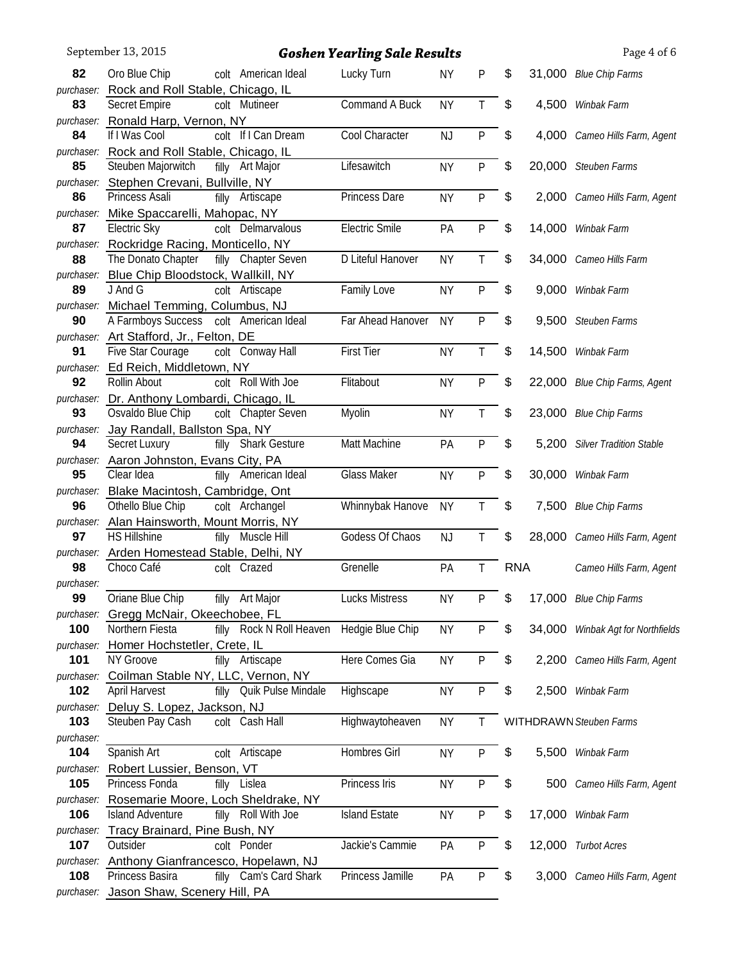|                   | September 13, 2015                                                        |                          | <b>Goshen Yearling Sale Results</b> |           |              |            |        | Page 4 of 6                    |
|-------------------|---------------------------------------------------------------------------|--------------------------|-------------------------------------|-----------|--------------|------------|--------|--------------------------------|
| 82                | Oro Blue Chip                                                             | colt American Ideal      | Lucky Turn                          | <b>NY</b> | P            | \$         |        | 31,000 Blue Chip Farms         |
| purchaser:        | Rock and Roll Stable, Chicago, IL                                         |                          |                                     |           |              |            |        |                                |
| 83                | Secret Empire                                                             | colt Mutineer            | Command A Buck                      | <b>NY</b> | T            | \$         | 4,500  | Winbak Farm                    |
| purchaser:        | Ronald Harp, Vernon, NY                                                   |                          |                                     |           |              |            |        |                                |
| 84                | If I Was Cool                                                             | colt If I Can Dream      | Cool Character                      | NJ        | ${\sf P}$    | \$         | 4,000  | Cameo Hills Farm, Agent        |
|                   | purchaser: Rock and Roll Stable, Chicago, IL                              |                          |                                     |           |              |            |        |                                |
| 85                | Steuben Majorwitch                                                        | filly Art Major          | Lifesawitch                         | <b>NY</b> | $\mathsf{P}$ | \$         |        | 20,000 Steuben Farms           |
| purchaser:        | Stephen Crevani, Bullville, NY                                            |                          |                                     |           |              |            |        |                                |
| 86                | Princess Asali                                                            | filly Artiscape          | Princess Dare                       | <b>NY</b> | P            | \$         |        | 2,000 Cameo Hills Farm, Agent  |
| purchaser:<br>87  | Mike Spaccarelli, Mahopac, NY<br>Electric Sky                             | colt Delmarvalous        | <b>Electric Smile</b>               | PA        | P            | \$         | 14,000 | Winbak Farm                    |
| purchaser:        | Rockridge Racing, Monticello, NY                                          |                          |                                     |           |              |            |        |                                |
| 88                | The Donato Chapter                                                        | filly Chapter Seven      | D Liteful Hanover                   | <b>NY</b> | T            | \$         |        | 34,000 Cameo Hills Farm        |
| purchaser:        | Blue Chip Bloodstock, Wallkill, NY                                        |                          |                                     |           |              |            |        |                                |
| 89                | J And G                                                                   | colt Artiscape           | Family Love                         | <b>NY</b> | ${\sf P}$    | \$         | 9,000  | Winbak Farm                    |
|                   | purchaser: Michael Temming, Columbus, NJ                                  |                          |                                     |           |              |            |        |                                |
| 90                | A Farmboys Success colt American Ideal                                    |                          | Far Ahead Hanover                   | <b>NY</b> | P            | \$         | 9,500  | Steuben Farms                  |
| purchaser:        | Art Stafford, Jr., Felton, DE                                             |                          |                                     |           |              |            |        |                                |
| 91                | Five Star Courage                                                         | colt Conway Hall         | <b>First Tier</b>                   | <b>NY</b> | T            | \$         | 14,500 | Winbak Farm                    |
| purchaser:        | Ed Reich, Middletown, NY                                                  |                          |                                     |           |              |            |        |                                |
| 92                | Rollin About                                                              | colt Roll With Joe       | Flitabout                           | <b>NY</b> | P            | \$         | 22,000 | <b>Blue Chip Farms, Agent</b>  |
|                   | purchaser: Dr. Anthony Lombardi, Chicago, IL                              |                          |                                     |           |              |            |        |                                |
| 93                | Osvaldo Blue Chip                                                         | colt Chapter Seven       | Myolin                              | <b>NY</b> | Τ            | \$         | 23,000 | <b>Blue Chip Farms</b>         |
| purchaser:<br>94  | Jay Randall, Ballston Spa, NY<br>Secret Luxury                            | filly Shark Gesture      | Matt Machine                        | PA        | P            | \$         | 5,200  | <b>Silver Tradition Stable</b> |
| purchaser:        | Aaron Johnston, Evans City, PA                                            |                          |                                     |           |              |            |        |                                |
| 95                | Clear Idea                                                                | filly American Ideal     | <b>Glass Maker</b>                  | <b>NY</b> | P            | \$         | 30,000 | Winbak Farm                    |
| purchaser:        | Blake Macintosh, Cambridge, Ont                                           |                          |                                     |           |              |            |        |                                |
| 96                | Othello Blue Chip                                                         | colt Archangel           | Whinnybak Hanove                    | <b>NY</b> | T.           | \$         |        | 7,500 Blue Chip Farms          |
|                   | purchaser: Alan Hainsworth, Mount Morris, NY                              |                          |                                     |           |              |            |        |                                |
| 97                | <b>HS Hillshine</b>                                                       | filly Muscle Hill        | Godess Of Chaos                     | NJ        | T            | \$         |        | 28,000 Cameo Hills Farm, Agent |
|                   | purchaser: Arden Homestead Stable, Delhi, NY                              |                          |                                     |           |              |            |        |                                |
| 98                | Choco Café                                                                | colt Crazed              | Grenelle                            | PA        | Τ            | <b>RNA</b> |        | Cameo Hills Farm, Agent        |
| purchaser:        |                                                                           |                          |                                     |           |              |            |        |                                |
| 99                | Oriane Blue Chip                                                          | filly Art Major          | <b>Lucks Mistress</b>               | <b>NY</b> | P            | \$         |        | 17,000 Blue Chip Farms         |
| purchaser:<br>100 | Gregg McNair, Okeechobee, FL<br>Northern Fiesta                           | filly Rock N Roll Heaven | Hedgie Blue Chip                    | <b>NY</b> | $\mathsf{P}$ | \$         | 34,000 |                                |
| purchaser:        | Homer Hochstetler, Crete, IL                                              |                          |                                     |           |              |            |        | Winbak Agt for Northfields     |
| 101               | NY Groove                                                                 | filly Artiscape          | Here Comes Gia                      | <b>NY</b> | P            | \$         |        | 2,200 Cameo Hills Farm, Agent  |
| purchaser:        | Coilman Stable NY, LLC, Vernon, NY                                        |                          |                                     |           |              |            |        |                                |
| 102               | <b>April Harvest</b>                                                      | filly Quik Pulse Mindale | Highscape                           | <b>NY</b> | P            | \$         |        | 2,500 Winbak Farm              |
| purchaser:        | Deluy S. Lopez, Jackson, NJ                                               |                          |                                     |           |              |            |        |                                |
| 103               | Steuben Pay Cash                                                          | colt Cash Hall           | Highwaytoheaven                     | <b>NY</b> |              |            |        | WITHDRAWN Steuben Farms        |
| purchaser:        |                                                                           |                          |                                     |           |              |            |        |                                |
| 104               | Spanish Art                                                               | colt Artiscape           | Hombres Girl                        | <b>NY</b> | $\mathsf{P}$ | \$         | 5,500  | Winbak Farm                    |
| purchaser:        | Robert Lussier, Benson, VT                                                |                          |                                     |           |              |            |        |                                |
| 105               | Princess Fonda                                                            | filly Lislea             | Princess Iris                       | <b>NY</b> | P            | \$         | 500    | Cameo Hills Farm, Agent        |
| 106               | purchaser: Rosemarie Moore, Loch Sheldrake, NY<br><b>Island Adventure</b> | filly Roll With Joe      | <b>Island Estate</b>                |           | $\mathsf{P}$ | \$         |        |                                |
|                   | purchaser: Tracy Brainard, Pine Bush, NY                                  |                          |                                     | <b>NY</b> |              |            | 17,000 | Winbak Farm                    |
| 107               | Outsider                                                                  | colt Ponder              | Jackie's Cammie                     | PA        | P            | \$         |        | 12,000 Turbot Acres            |
| purchaser:        | Anthony Gianfrancesco, Hopelawn, NJ                                       |                          |                                     |           |              |            |        |                                |
| 108               | Princess Basira                                                           | filly Cam's Card Shark   | Princess Jamille                    | PA        | P            | \$         |        | 3,000 Cameo Hills Farm, Agent  |
| purchaser:        | Jason Shaw, Scenery Hill, PA                                              |                          |                                     |           |              |            |        |                                |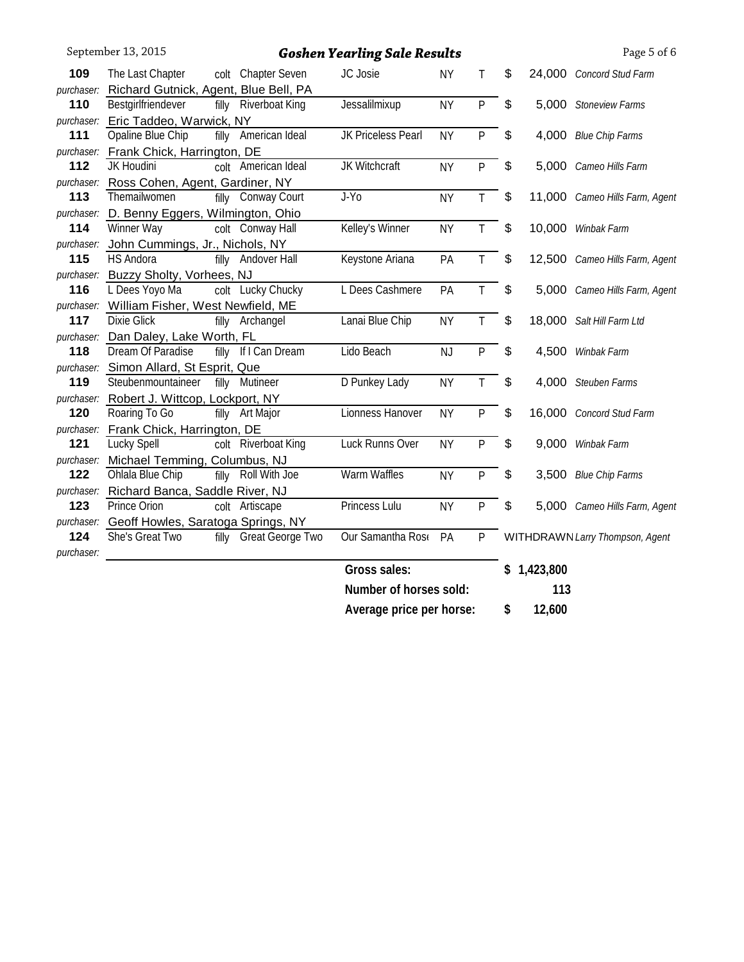|            | September 13, 2015                                               |       |                        | <b>Goshen Yearling Sale Results</b> |           |              |                           |             | Page 5 of 6                     |
|------------|------------------------------------------------------------------|-------|------------------------|-------------------------------------|-----------|--------------|---------------------------|-------------|---------------------------------|
| 109        | The Last Chapter                                                 |       | colt Chapter Seven     | JC Josie                            | <b>NY</b> | T.           | \$                        |             | 24,000 Concord Stud Farm        |
| purchaser: | Richard Gutnick, Agent, Blue Bell, PA                            |       |                        |                                     |           |              |                           |             |                                 |
| 110        | Bestgirlfriendever                                               | filly | <b>Riverboat King</b>  | Jessalilmixup                       | <b>NY</b> | P            | $\boldsymbol{\mathsf{S}}$ |             | 5,000 Stoneview Farms           |
|            | purchaser: Eric Taddeo, Warwick, NY                              |       |                        |                                     |           |              |                           |             |                                 |
| 111        | Opaline Blue Chip                                                |       | filly American Ideal   | JK Priceless Pearl                  | <b>NY</b> | P            | $\boldsymbol{\mathsf{S}}$ |             | 4,000 Blue Chip Farms           |
|            | purchaser: Frank Chick, Harrington, DE                           |       |                        |                                     |           |              |                           |             |                                 |
| 112        | JK Houdini                                                       |       | colt American Ideal    | JK Witchcraft                       | <b>NY</b> | P            | $\boldsymbol{\mathsf{S}}$ |             | 5,000 Cameo Hills Farm          |
| purchaser: | Ross Cohen, Agent, Gardiner, NY                                  |       |                        |                                     |           |              |                           |             |                                 |
| 113        | Themailwomen                                                     |       | filly Conway Court     | $J-Y$ <sub>0</sub>                  | <b>NY</b> | T            | $\boldsymbol{\mathsf{S}}$ |             | 11,000 Cameo Hills Farm, Agent  |
| purchaser: | D. Benny Eggers, Wilmington, Ohio                                |       |                        |                                     |           |              |                           |             |                                 |
| 114        | Winner Way                                                       |       | colt Conway Hall       | Kelley's Winner                     | <b>NY</b> | T            | $\boldsymbol{\mathsf{S}}$ |             | 10,000 Winbak Farm              |
| purchaser: | John Cummings, Jr., Nichols, NY                                  |       |                        |                                     |           |              |                           |             |                                 |
| 115        | <b>HS Andora</b>                                                 |       | filly Andover Hall     | Keystone Ariana                     | PA        | $\mathsf T$  | $\boldsymbol{\mathsf{S}}$ |             | 12,500 Cameo Hills Farm, Agent  |
| purchaser: | <b>Buzzy Sholty, Vorhees, NJ</b>                                 |       |                        |                                     |           |              |                           |             |                                 |
| 116        | L Dees Yoyo Ma                                                   |       | colt Lucky Chucky      | L Dees Cashmere                     | PA        | $\mathsf{T}$ | \$                        |             | 5,000 Cameo Hills Farm, Agent   |
| purchaser: | William Fisher, West Newfield, ME                                |       |                        |                                     |           |              |                           |             |                                 |
| 117        | Dixie Glick                                                      |       | filly Archangel        | Lanai Blue Chip                     | <b>NY</b> | T            | $\frac{1}{2}$             |             | 18,000 Salt Hill Farm Ltd       |
|            | purchaser: Dan Daley, Lake Worth, FL                             |       |                        |                                     |           |              |                           |             |                                 |
| 118        | Dream Of Paradise                                                |       | filly If I Can Dream   | Lido Beach                          | <b>NJ</b> | P            | $\frac{1}{2}$             |             | 4,500 Winbak Farm               |
|            | purchaser: Simon Allard, St Esprit, Que                          |       |                        |                                     |           |              |                           |             |                                 |
| 119        | Steubenmountaineer                                               |       | filly Mutineer         | D Punkey Lady                       | <b>NY</b> | T            | \$                        |             | 4,000 Steuben Farms             |
|            | purchaser: Robert J. Wittcop, Lockport, NY                       |       |                        |                                     |           |              |                           |             |                                 |
| 120        | Roaring To Go                                                    |       | filly Art Major        | Lionness Hanover                    | <b>NY</b> | $\mathsf{P}$ | \$                        |             | 16,000 Concord Stud Farm        |
| purchaser: | Frank Chick, Harrington, DE                                      |       |                        |                                     |           |              |                           |             |                                 |
| 121        | Lucky Spell                                                      |       | colt Riverboat King    | <b>Luck Runns Over</b>              | <b>NY</b> | P            | \$                        | 9,000       | Winbak Farm                     |
|            | purchaser: Michael Temming, Columbus, NJ                         |       | filly Roll With Joe    | Warm Waffles                        |           |              |                           |             |                                 |
| 122        | Ohlala Blue Chip                                                 |       |                        |                                     | <b>NY</b> | P            | \$                        |             | 3,500 Blue Chip Farms           |
| 123        | purchaser: Richard Banca, Saddle River, NJ<br>Prince Orion       |       | colt Artiscape         | Princess Lulu                       | <b>NY</b> | P            | \$                        |             |                                 |
|            |                                                                  |       |                        |                                     |           |              |                           |             | 5,000 Cameo Hills Farm, Agent   |
| 124        | purchaser: Geoff Howles, Saratoga Springs, NY<br>She's Great Two |       | filly Great George Two | Our Samantha Rose                   | PA        | P            |                           |             | WITHDRAWN Larry Thompson, Agent |
| purchaser: |                                                                  |       |                        |                                     |           |              |                           |             |                                 |
|            |                                                                  |       |                        | Gross sales:                        |           |              |                           | \$1,423,800 |                                 |
|            |                                                                  |       |                        | Number of horses sold:              |           |              |                           | 113         |                                 |
|            |                                                                  |       |                        | Average price per horse:            |           |              | \$                        | 12,600      |                                 |
|            |                                                                  |       |                        |                                     |           |              |                           |             |                                 |